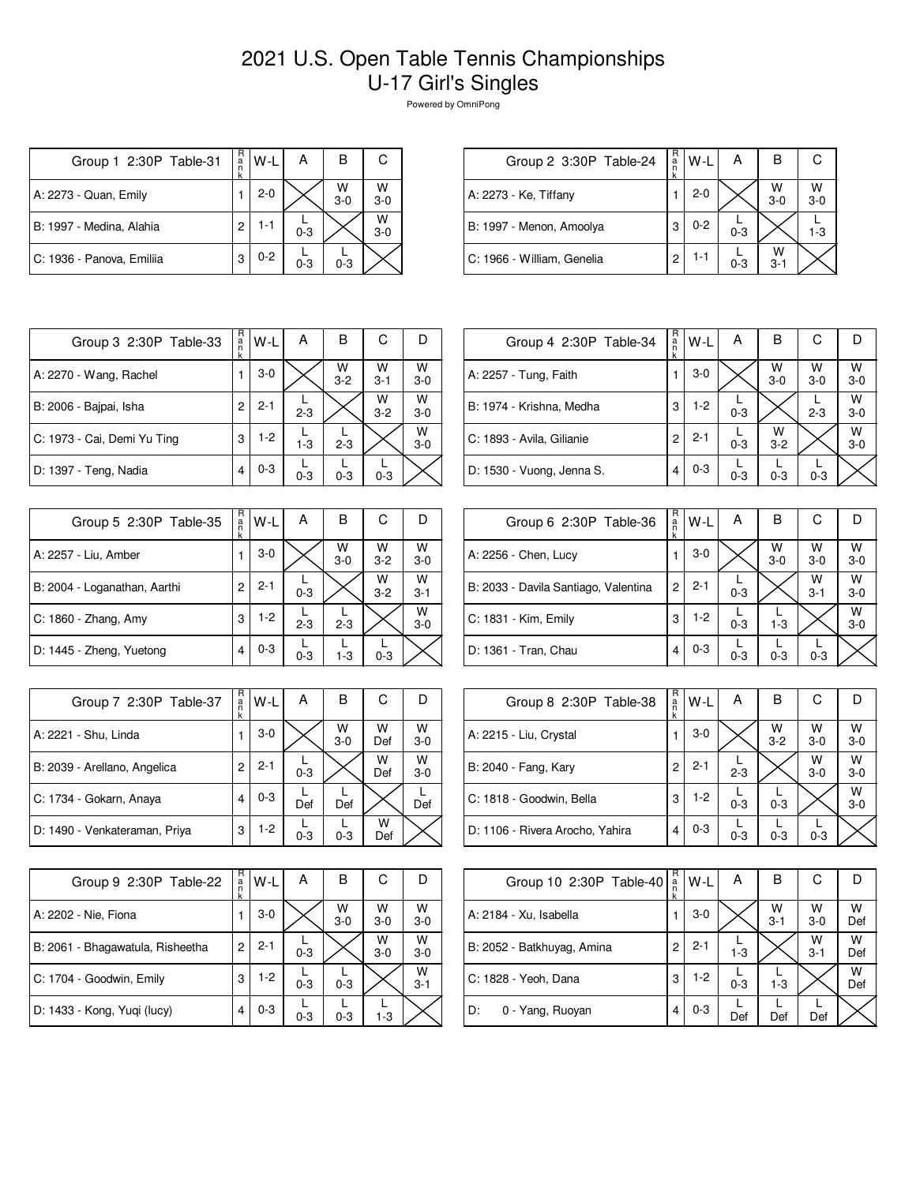## 2021 U.S. Open Table Tennis Championships U-17 Girl's Singles

Powered by OmniPong

| Group 1 2:30P Table-31    | R<br>ă | W-L     | А       | В            | С          |
|---------------------------|--------|---------|---------|--------------|------------|
| A: 2273 - Quan, Emily     |        | $2 - 0$ |         | W<br>$3 - 0$ | W<br>$3-0$ |
| B: 1997 - Medina, Alahia  | 2      | 1-1     | $0 - 3$ |              | W<br>$3-0$ |
| C: 1936 - Panova, Emiliia | 3      | $0 - 2$ | $0 - 3$ | $0 - 3$      |            |

| Group 2 3:30P Table-24     | R<br>a<br>$\overline{\mathsf{n}}$ | $W-L$   | А       | в            |            |
|----------------------------|-----------------------------------|---------|---------|--------------|------------|
| A: 2273 - Ke, Tiffany      |                                   | $2 - 0$ |         | W<br>$3 - 0$ | W<br>$3-0$ |
| B: 1997 - Menon, Amoolya   | 3                                 | $0 - 2$ | $0 - 3$ |              | $1 - 3$    |
| C: 1966 - William, Genelia | 2                                 | 1-1     | $0 - 3$ | W<br>$3 - 1$ |            |

| Group 3 2:30P Table-33      | R<br>a<br>k | W-L     | А       | В            | С            | I)         |
|-----------------------------|-------------|---------|---------|--------------|--------------|------------|
| A: 2270 - Wang, Rachel      |             | $3-0$   |         | W<br>$3 - 2$ | W<br>$3 - 1$ | W<br>$3-0$ |
| B: 2006 - Bajpai, Isha      | 2           | $2 - 1$ | $2 - 3$ |              | W<br>$3 - 2$ | W<br>$3-0$ |
| C: 1973 - Cai, Demi Yu Ting | 3           | $1-2$   | $1 - 3$ | $2 - 3$      |              | W<br>$3-0$ |
| D: 1397 - Teng, Nadia       | 4           | $0 - 3$ | $0 - 3$ | $0 - 3$      | $0 - 3$      |            |

| Group 5 2:30P Table-35       | R<br>a<br>n<br>k | W-L     | Α       | в          | С            |              |
|------------------------------|------------------|---------|---------|------------|--------------|--------------|
| A: 2257 - Liu, Amber         |                  | $3-0$   |         | W<br>$3-0$ | W<br>$3 - 2$ | W<br>$3 - 0$ |
| B: 2004 - Loganathan, Aarthi | 2                | $2 - 1$ | $0 - 3$ |            | W<br>$3 - 2$ | W<br>$3 - 1$ |
| C: 1860 - Zhang, Amy         | 3                | $1-2$   | $2 - 3$ | $2 - 3$    |              | W<br>$3 - 0$ |
| D: 1445 - Zheng, Yuetong     | 4                | $0 - 3$ | $0 - 3$ | $1 - 3$    | $0 - 3$      |              |

| Group 7 2:30P Table-37        | R<br>$\frac{a}{n}$<br>k | W-L     | А       | в          | С        |            |
|-------------------------------|-------------------------|---------|---------|------------|----------|------------|
| A: 2221 - Shu, Linda          |                         | $3-0$   |         | W<br>$3-0$ | w<br>Def | W<br>$3-0$ |
| B: 2039 - Arellano, Angelica  | 2                       | $2 - 1$ | $0 - 3$ |            | W<br>Def | W<br>$3-0$ |
| C: 1734 - Gokarn, Anaya       |                         | $0 - 3$ | Def     | Def        |          | Def        |
| D: 1490 - Venkateraman, Priya | 3                       | $1-2$   | $0 - 3$ | $0 - 3$    | w<br>Def |            |

| Group 9 2:30P Table-22           | R<br>a<br>k | W-L     | А       | в          | С          |              |
|----------------------------------|-------------|---------|---------|------------|------------|--------------|
| A: 2202 - Nie, Fiona             |             | $3-0$   |         | W<br>$3-0$ | w<br>$3-0$ | W<br>$3-0$   |
| B: 2061 - Bhagawatula, Risheetha | 2           | $2 - 1$ | $0 - 3$ |            | W<br>$3-0$ | w<br>$3-0$   |
| C: 1704 - Goodwin, Emily         | 3           | $1-2$   | $0 - 3$ | $0 - 3$    |            | W<br>$3 - 1$ |
| D: 1433 - Kong, Yuqi (lucy)      | 4           | $0 - 3$ | $0 - 3$ | $0 - 3$    | 1-3        |              |

| Group 4 2:30P Table-34    | R<br>a<br>k | $W-L$   | А       | в            | С            |            |
|---------------------------|-------------|---------|---------|--------------|--------------|------------|
| A: 2257 - Tung, Faith     |             | $3-0$   |         | W<br>$3-0$   | w<br>$3 - 0$ | W<br>$3-0$ |
| B: 1974 - Krishna, Medha  | 3           | $1-2$   | $0 - 3$ |              | $2 - 3$      | W<br>$3-0$ |
| C: 1893 - Avila, Gilianie | 2           | $2 - 1$ | $0 - 3$ | W<br>$3 - 2$ |              | W<br>$3-0$ |
| D: 1530 - Vuong, Jenna S. | 4           | $0 - 3$ | $0 - 3$ | $0 - 3$      | $0 - 3$      |            |

| Group 6 2:30P Table-36               | R<br>a<br>k | W-L     | Α       | В            | С            |              |
|--------------------------------------|-------------|---------|---------|--------------|--------------|--------------|
| A: 2256 - Chen, Lucy                 |             | $3-0$   |         | W<br>$3 - 0$ | w<br>$3-0$   | W<br>$3-0$   |
| B: 2033 - Davila Santiago, Valentina | 2           | $2 - 1$ | $0 - 3$ |              | W<br>$3 - 1$ | W<br>$3-0$   |
| C: 1831 - Kim, Emily                 | 3           | $1-2$   | $0 - 3$ | $1-3$        |              | W<br>$3 - 0$ |
| D: 1361 - Tran, Chau                 |             | $0 - 3$ | $0 - 3$ | $0 - 3$      | $0 - 3$      |              |

| Group 8 2:30P Table-38          | R<br>a<br>k | $W-L$   | А       | в                  | С                  |              |
|---------------------------------|-------------|---------|---------|--------------------|--------------------|--------------|
| A: 2215 - Liu, Crystal          |             | $3-0$   |         | $W$ <sub>3-2</sub> | $W$ <sub>3-0</sub> | W<br>$3 - 0$ |
| B: 2040 - Fang, Kary            | 2           | $2 - 1$ | $2 - 3$ |                    | w<br>$3-0$         | W<br>$3-0$   |
| C: 1818 - Goodwin, Bella        | 3           | $1-2$   | $0 - 3$ | $0 - 3$            |                    | W<br>$3 - 0$ |
| D: 1106 - Rivera Arocho, Yahira | 4           | $0 - 3$ | $0 - 3$ | $0 - 3$            | $0 - 3$            |              |

| Group 10 2:30P Table-40    | R<br>a | W-L     | А       | В                  | С            |          |
|----------------------------|--------|---------|---------|--------------------|--------------|----------|
| A: 2184 - Xu, Isabella     |        | $3-0$   |         | $W$ <sub>3-1</sub> | W<br>$3 - 0$ | W<br>Def |
| B: 2052 - Batkhuyag, Amina | 2      | $2 - 1$ | $1 - 3$ |                    | W<br>$3 - 1$ | w<br>Def |
| C: 1828 - Yeoh, Dana       | 3      | $1-2$   | $0 - 3$ | $1 - 3$            |              | W<br>Def |
| D:<br>0 - Yang, Ruoyan     | 4      | $0 - 3$ | Def     | Def                | Def          |          |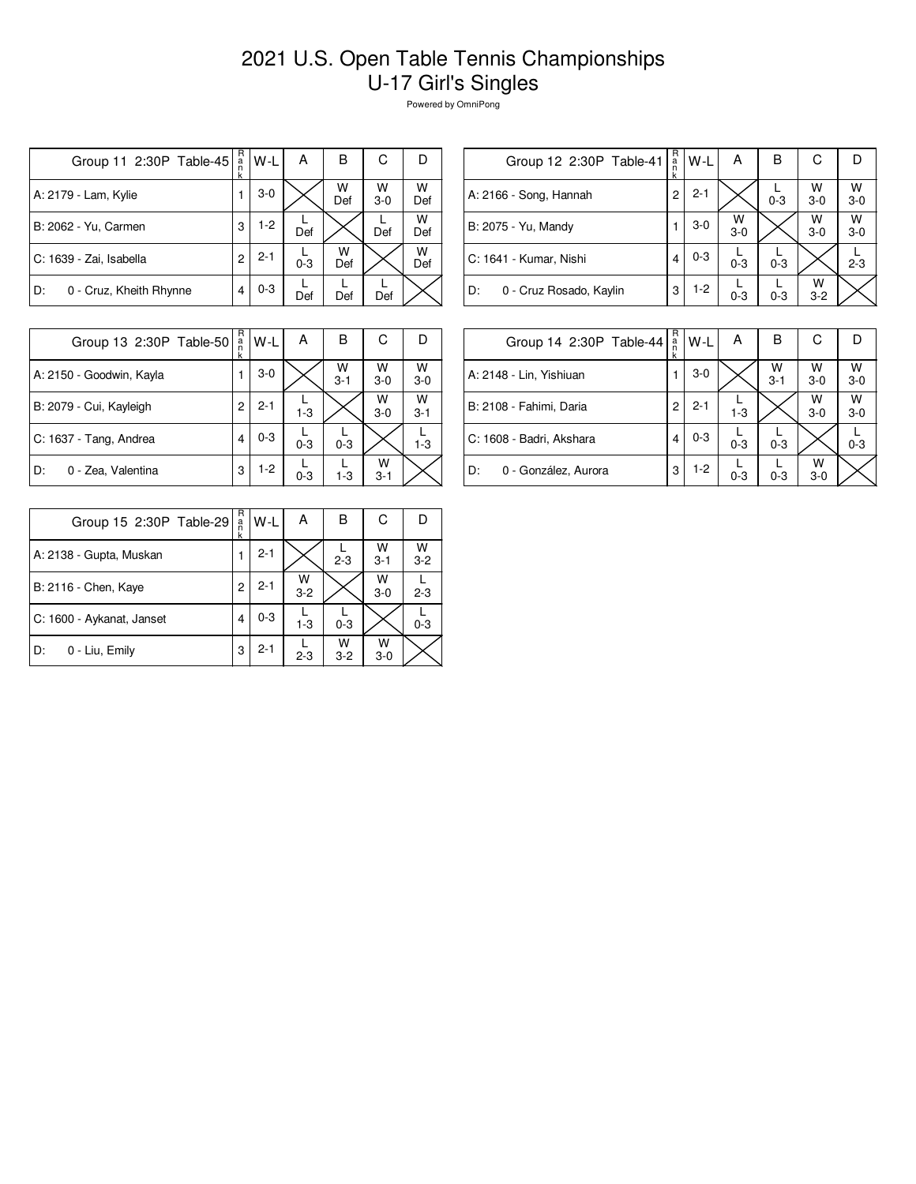## 2021 U.S. Open Table Tennis Championships U-17 Girl's Singles

Powered by OmniPong

| Group 11 2:30P Table-45       | $_{n}^{\text{R}}$<br>k | W-L     | А       | в        | С          | Ð        |
|-------------------------------|------------------------|---------|---------|----------|------------|----------|
| A: 2179 - Lam, Kylie          |                        | $3-0$   |         | W<br>Def | W<br>$3-0$ | W<br>Def |
| B: 2062 - Yu, Carmen          | 3                      | $1-2$   | Def     |          | Def        | w<br>Def |
| C: 1639 - Zai, Isabella       | $\overline{c}$         | $2 - 1$ | $0 - 3$ | w<br>Def |            | W<br>Def |
| 0 - Cruz, Kheith Rhynne<br>D: |                        | $0 - 3$ | Def     | Def      | Def        |          |

| R<br>С<br>в<br>А<br>W-L<br>Group 12 2:30P Table-41<br>$\frac{a}{n}$<br>k<br>W<br>W<br>$2 - 1$<br>A: 2166 - Song, Hannah<br>2<br>$3 - 0$<br>$0 - 3$<br>$3-0$<br>W<br>W<br>w<br>$3-0$<br>B: 2075 - Yu, Mandy<br>$3-0$<br>$3-0$<br>$3-0$ |                        |   |         |  |  |
|---------------------------------------------------------------------------------------------------------------------------------------------------------------------------------------------------------------------------------------|------------------------|---|---------|--|--|
|                                                                                                                                                                                                                                       |                        |   |         |  |  |
|                                                                                                                                                                                                                                       |                        |   |         |  |  |
|                                                                                                                                                                                                                                       |                        |   |         |  |  |
| $0 - 3$<br>$2 - 3$<br>$0 - 3$                                                                                                                                                                                                         | C: 1641 - Kumar, Nishi | 4 | $0 - 3$ |  |  |
| W<br>$1-2$<br>D:<br>0 - Cruz Rosado, Kaylin<br>3<br>$0 - 3$<br>$0 - 3$<br>$3 - 2$                                                                                                                                                     |                        |   |         |  |  |

| Group 13 2:30P Table-50  | R<br>a<br>k | W-L     | Α       | B            | С            |              |
|--------------------------|-------------|---------|---------|--------------|--------------|--------------|
| A: 2150 - Goodwin, Kayla |             | $3-0$   |         | W<br>$3 - 1$ | W<br>$3-0$   | W<br>$3 - 0$ |
| B: 2079 - Cui, Kayleigh  | 2           | $2 - 1$ | $1 - 3$ |              | W<br>$3-0$   | W<br>$3 - 1$ |
| C: 1637 - Tang, Andrea   | 4           | $0 - 3$ | $0 - 3$ | $0 - 3$      |              | $1 - 3$      |
| 0 - Zea, Valentina<br>D: | 3           | $1-2$   | $0 - 3$ | $1 - 3$      | W<br>$3 - 1$ |              |

| Group 14 2:30P Table-44    | R<br>a | W-L     | А       | в            | С          |              |
|----------------------------|--------|---------|---------|--------------|------------|--------------|
| A: 2148 - Lin, Yishiuan    |        | $3-0$   |         | W<br>$3 - 1$ | w<br>$3-0$ | W<br>$3 - 0$ |
| B: 2108 - Fahimi, Daria    | 2      | $2 - 1$ | $1 - 3$ |              | W<br>$3-0$ | w<br>$3-0$   |
| C: 1608 - Badri, Akshara   | 4      | $0 - 3$ | $0 - 3$ | $0 - 3$      |            | $0 - 3$      |
| D:<br>0 - González, Aurora | 3      | $1-2$   | $0 - 3$ | $0 - 3$      | W<br>$3-0$ |              |

| Group 15 2:30P Table-29   | R<br>a<br>n<br>k | W-L     | А            | в            | С            |            |
|---------------------------|------------------|---------|--------------|--------------|--------------|------------|
| A: 2138 - Gupta, Muskan   |                  | $2 - 1$ |              | $2 - 3$      | W<br>$3 - 1$ | W<br>$3-2$ |
| B: 2116 - Chen, Kaye      | 2                | $2 - 1$ | W<br>$3 - 2$ |              | W<br>$3-0$   | $2 - 3$    |
| C: 1600 - Aykanat, Janset | 4                | $0 - 3$ | $1 - 3$      | $0 - 3$      |              | $0 - 3$    |
| D:<br>0 - Liu, Emily      | 3                | $2 - 1$ | $2 - 3$      | W<br>$3 - 2$ | W<br>$3-0$   |            |